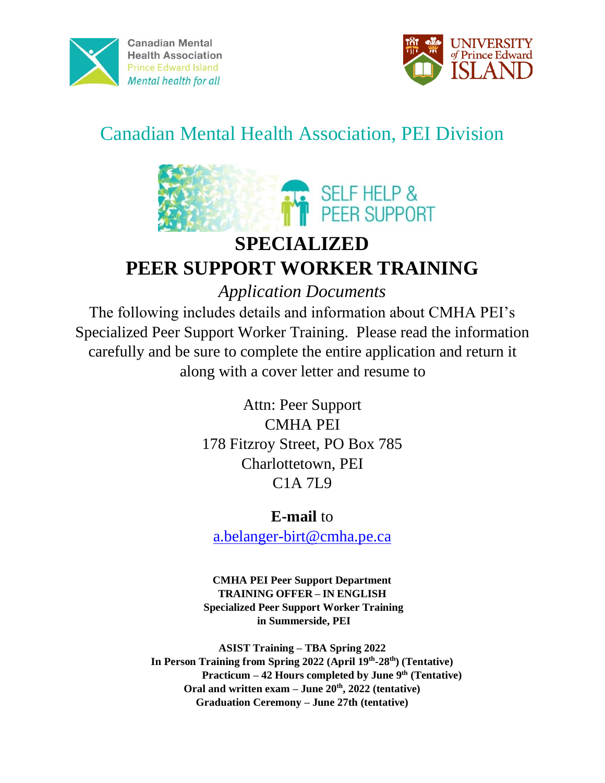



# Canadian Mental Health Association, PEI Division



## **SPECIALIZED PEER SUPPORT WORKER TRAINING**

*Application Documents* 

The following includes details and information about CMHA PEI's Specialized Peer Support Worker Training. Please read the information carefully and be sure to complete the entire application and return it along with a cover letter and resume to

> Attn: Peer Support CMHA PEI 178 Fitzroy Street, PO Box 785 Charlottetown, PEI C1A 7L9

## **E-mail** to

a.belanger-birt@cmha.pe.ca

**CMHA PEI Peer Support Department TRAINING OFFER – IN ENGLISH Specialized Peer Support Worker Training in Summerside, PEI** 

**ASIST Training – TBA Spring 2022 In Person Training from Spring 2022 (April 19th -28th) (Tentative) Practicum – 42 Hours completed by June 9 th (Tentative) Oral and written exam – June 20th, 2022 (tentative) Graduation Ceremony – June 27th (tentative)**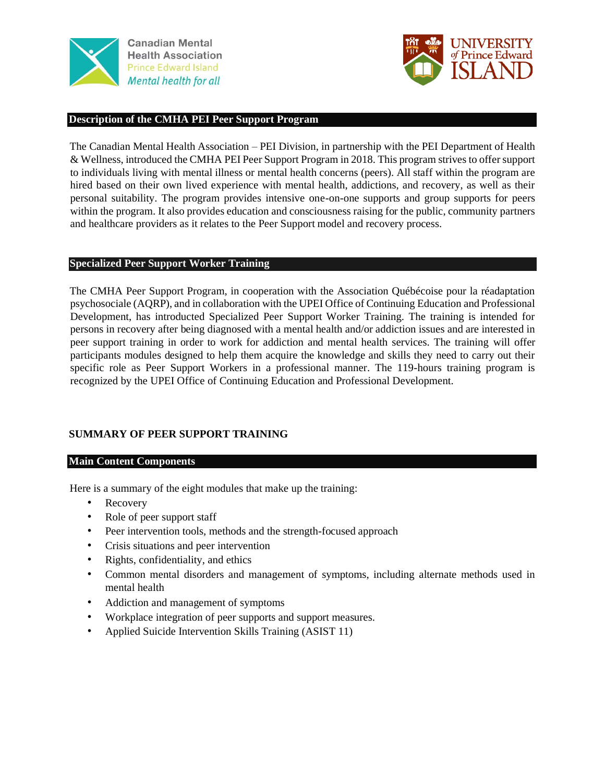



#### **Description of the CMHA PEI Peer Support Program**

The Canadian Mental Health Association – PEI Division, in partnership with the PEI Department of Health & Wellness, introduced the CMHA PEI Peer Support Program in 2018. This program strives to offer support to individuals living with mental illness or mental health concerns (peers). All staff within the program are hired based on their own lived experience with mental health, addictions, and recovery, as well as their personal suitability. The program provides intensive one-on-one supports and group supports for peers within the program. It also provides education and consciousness raising for the public, community partners and healthcare providers as it relates to the Peer Support model and recovery process.

#### **Specialized Peer Support Worker Training**

The CMHA Peer Support Program, in cooperation with the Association Québécoise pour la réadaptation psychosociale (AQRP), and in collaboration with the UPEI Office of Continuing Education and Professional Development, has introducted Specialized Peer Support Worker Training. The training is intended for persons in recovery after being diagnosed with a mental health and/or addiction issues and are interested in peer support training in order to work for addiction and mental health services. The training will offer participants modules designed to help them acquire the knowledge and skills they need to carry out their specific role as Peer Support Workers in a professional manner. The 119-hours training program is recognized by the UPEI Office of Continuing Education and Professional Development.

#### **SUMMARY OF PEER SUPPORT TRAINING**

#### **Main Content Components**

Here is a summary of the eight modules that make up the training:

- Recovery
- Role of peer support staff
- Peer intervention tools, methods and the strength-focused approach
- Crisis situations and peer intervention
- Rights, confidentiality, and ethics
- Common mental disorders and management of symptoms, including alternate methods used in mental health
- Addiction and management of symptoms
- Workplace integration of peer supports and support measures.
- Applied Suicide Intervention Skills Training (ASIST 11)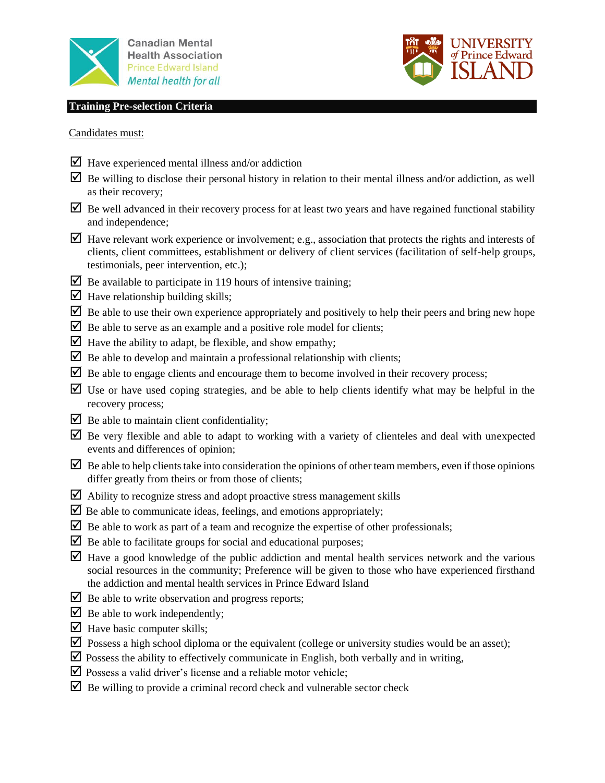





Candidates must:

- $\triangledown$  Have experienced mental illness and/or addiction
- $\overline{\mathbf{Q}}$  Be willing to disclose their personal history in relation to their mental illness and/or addiction, as well as their recovery;
- $\triangleright$  Be well advanced in their recovery process for at least two years and have regained functional stability and independence;
- $\Box$  Have relevant work experience or involvement; e.g., association that protects the rights and interests of clients, client committees, establishment or delivery of client services (facilitation of self-help groups, testimonials, peer intervention, etc.);
- $\triangleright$  Be available to participate in 119 hours of intensive training;
- $\triangleright$  Have relationship building skills;
- $\triangledown$  Be able to use their own experience appropriately and positively to help their peers and bring new hope
- $\triangleright$  Be able to serve as an example and a positive role model for clients;
- $\triangleright$  Have the ability to adapt, be flexible, and show empathy;
- $\triangleright$  Be able to develop and maintain a professional relationship with clients;
- $\triangledown$  Be able to engage clients and encourage them to become involved in their recovery process;
- $\triangledown$  Use or have used coping strategies, and be able to help clients identify what may be helpful in the recovery process;
- $\triangleright$  Be able to maintain client confidentiality;
- $\Box$  Be very flexible and able to adapt to working with a variety of clienteles and deal with unexpected events and differences of opinion;
- $\boxtimes$  Be able to help clients take into consideration the opinions of other team members, even if those opinions differ greatly from theirs or from those of clients;
- $\triangleright$  Ability to recognize stress and adopt proactive stress management skills
- $\triangledown$  Be able to communicate ideas, feelings, and emotions appropriately;
- $\triangleright$  Be able to work as part of a team and recognize the expertise of other professionals;
- $\triangleright$  Be able to facilitate groups for social and educational purposes;
- Have a good knowledge of the public addiction and mental health services network and the various social resources in the community; Preference will be given to those who have experienced firsthand the addiction and mental health services in Prince Edward Island
- $\triangleright$  Be able to write observation and progress reports;
- $\triangleright$  Be able to work independently;
- $\blacksquare$  Have basic computer skills;
- $\triangledown$  Possess a high school diploma or the equivalent (college or university studies would be an asset);
- $\triangledown$  Possess the ability to effectively communicate in English, both verbally and in writing,
- $\triangledown$  Possess a valid driver's license and a reliable motor vehicle;
- $\triangleright$  Be willing to provide a criminal record check and vulnerable sector check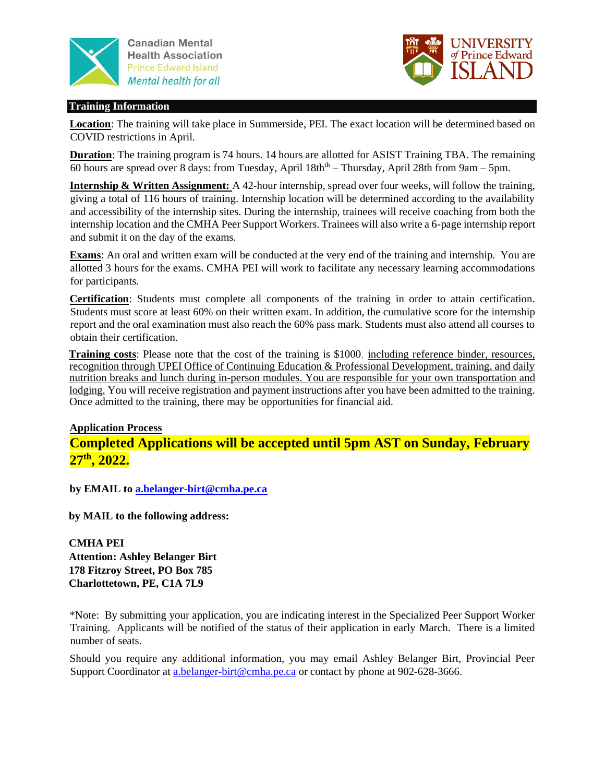



#### **Training Information**

**Location**: The training will take place in Summerside, PEI. The exact location will be determined based on COVID restrictions in April.

**Duration**: The training program is 74 hours. 14 hours are allotted for ASIST Training TBA. The remaining 60 hours are spread over 8 days: from Tuesday, April 18th<sup>th</sup> – Thursday, April 28th from 9am – 5pm.

**Internship & Written Assignment:** A 42-hour internship, spread over four weeks, will follow the training, giving a total of 116 hours of training. Internship location will be determined according to the availability and accessibility of the internship sites. During the internship, trainees will receive coaching from both the internship location and the CMHA Peer Support Workers. Trainees will also write a 6-page internship report and submit it on the day of the exams.

**Exams**: An oral and written exam will be conducted at the very end of the training and internship. You are allotted 3 hours for the exams. CMHA PEI will work to facilitate any necessary learning accommodations for participants.

**Certification**: Students must complete all components of the training in order to attain certification. Students must score at least 60% on their written exam. In addition, the cumulative score for the internship report and the oral examination must also reach the 60% pass mark. Students must also attend all courses to obtain their certification.

**Training costs**: Please note that the cost of the training is \$1000, including reference binder, resources, recognition through UPEI Office of Continuing Education & Professional Development, training, and daily nutrition breaks and lunch during in-person modules. You are responsible for your own transportation and lodging. You will receive registration and payment instructions after you have been admitted to the training. Once admitted to the training, there may be opportunities for financial aid.

#### **Application Process**

**Completed Applications will be accepted until 5pm AST on Sunday, February 27th, 2022.**

**by EMAIL to a.belanger-birt@cmha.pe.ca** 

**by MAIL to the following address:**

**CMHA PEI Attention: Ashley Belanger Birt 178 Fitzroy Street, PO Box 785 Charlottetown, PE, C1A 7L9**

\*Note: By submitting your application, you are indicating interest in the Specialized Peer Support Worker Training. Applicants will be notified of the status of their application in early March. There is a limited number of seats.

Should you require any additional information, you may email Ashley Belanger Birt, Provincial Peer Support Coordinator at a.belanger-birt@cmha.pe.ca or contact by phone at 902-628-3666.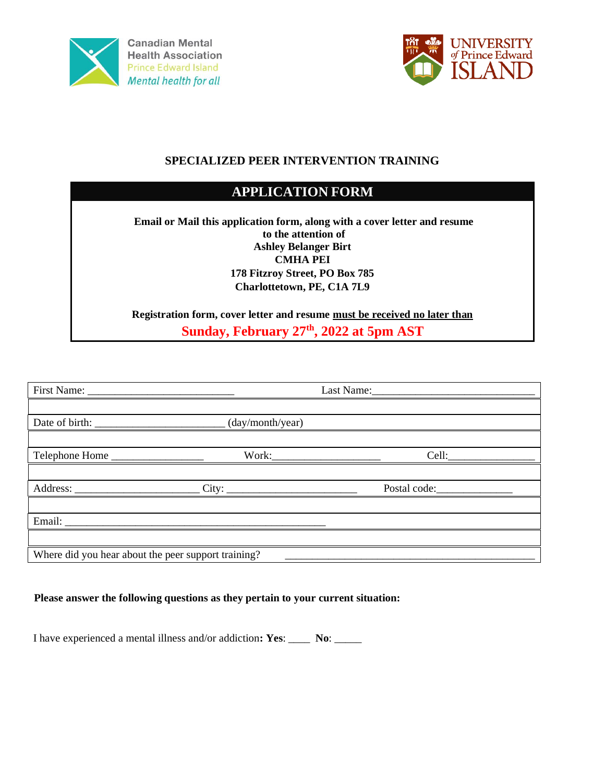



### **SPECIALIZED PEER INTERVENTION TRAINING**

### **APPLICATION FORM**

**Email or Mail this application form, along with a cover letter and resume to the attention of Ashley Belanger Birt CMHA PEI 178 Fitzroy Street, PO Box 785 Charlottetown, PE, C1A 7L9**

**Registration form, cover letter and resume must be received no later than Sunday, February 27th, 2022 at 5pm AST** 

| Telephone Home                                      | Cell: |
|-----------------------------------------------------|-------|
|                                                     |       |
|                                                     |       |
|                                                     |       |
|                                                     |       |
|                                                     |       |
| Where did you hear about the peer support training? |       |

#### **Please answer the following questions as they pertain to your current situation:**

I have experienced a mental illness and/or addiction**: Yes**: \_\_\_\_ **No**: \_\_\_\_\_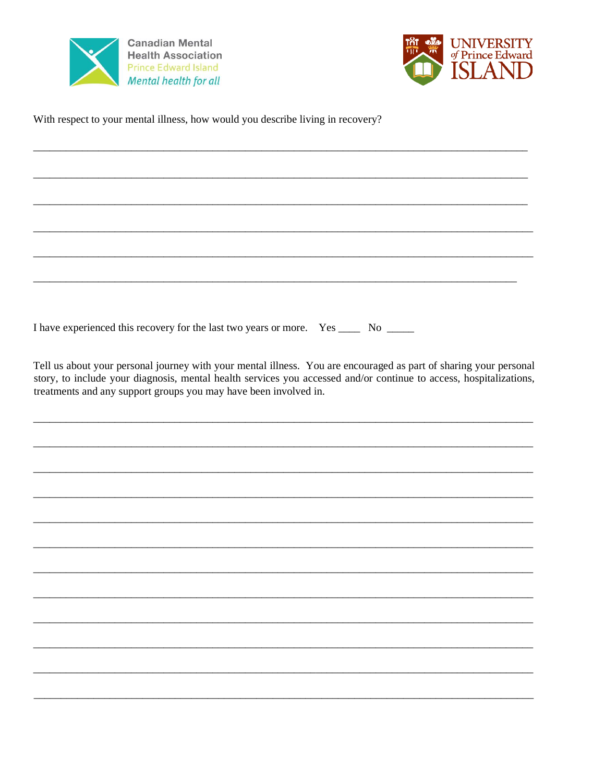



With respect to your mental illness, how would you describe living in recovery?

I have experienced this recovery for the last two years or more. Yes \_\_\_\_\_\_\_ No \_\_\_\_\_\_

Tell us about your personal journey with your mental illness. You are encouraged as part of sharing your personal story, to include your diagnosis, mental health services you accessed and/or continue to access, hospitalizations, treatments and any support groups you may have been involved in.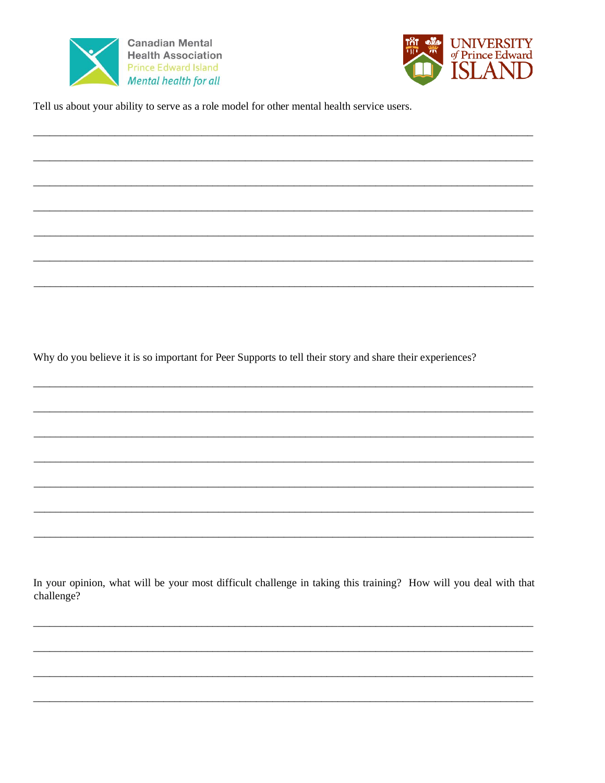



Tell us about your ability to serve as a role model for other mental health service users.

Why do you believe it is so important for Peer Supports to tell their story and share their experiences?

In your opinion, what will be your most difficult challenge in taking this training? How will you deal with that challenge?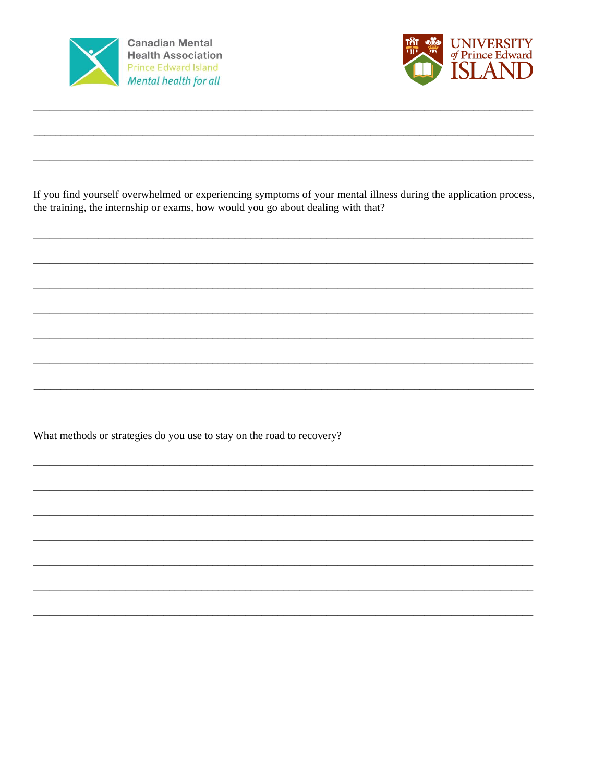



If you find yourself overwhelmed or experiencing symptoms of your mental illness during the application process, the training, the internship or exams, how would you go about dealing with that?

What methods or strategies do you use to stay on the road to recovery?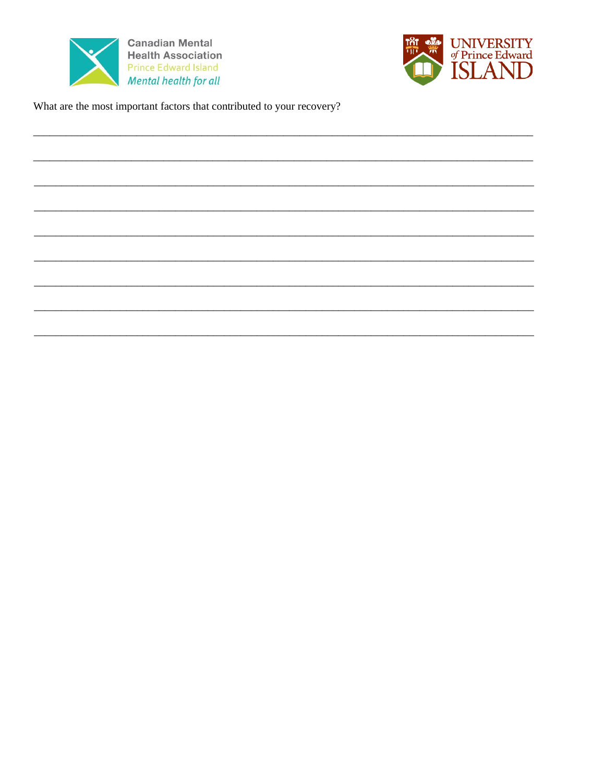



What are the most important factors that contributed to your recovery?